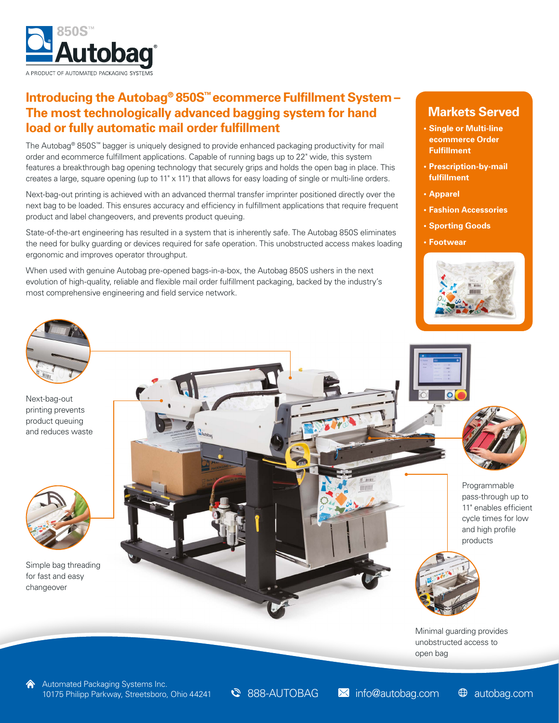

### **Introducing the Autobag® 850S™ ecommerce Fulfillment System – The most technologically advanced bagging system for hand load or fully automatic mail order fulfillment**

The Autobag® 850S™ bagger is uniquely designed to provide enhanced packaging productivity for mail order and ecommerce fulfillment applications. Capable of running bags up to 22" wide, this system features a breakthrough bag opening technology that securely grips and holds the open bag in place. This creates a large, square opening (up to 11" x 11") that allows for easy loading of single or multi-line orders.

Next-bag-out printing is achieved with an advanced thermal transfer imprinter positioned directly over the next bag to be loaded. This ensures accuracy and efficiency in fulfillment applications that require frequent product and label changeovers, and prevents product queuing.

State-of-the-art engineering has resulted in a system that is inherently safe. The Autobag 850S eliminates the need for bulky guarding or devices required for safe operation. This unobstructed access makes loading ergonomic and improves operator throughput.

When used with genuine Autobag pre-opened bags-in-a-box, the Autobag 850S ushers in the next evolution of high-quality, reliable and flexible mail order fulfillment packaging, backed by the industry's most comprehensive engineering and field service network.

### **Markets Served**

- **• Single or Multi-line ecommerce Order Fulfillment**
- **• Prescription-by-mail fulfillment**
- **• Apparel**
- **• Fashion Accessories**
- **• Sporting Goods**
- **• Footwear**





Next-bag-out printing prevents product queuing and reduces waste



Simple bag threading for fast and easy changeover





Programmable pass-through up to 11" enables efficient cycle times for low and high profile products



Minimal guarding provides unobstructed access to open bag

888-AUTOBAG Minfo@autobag.com